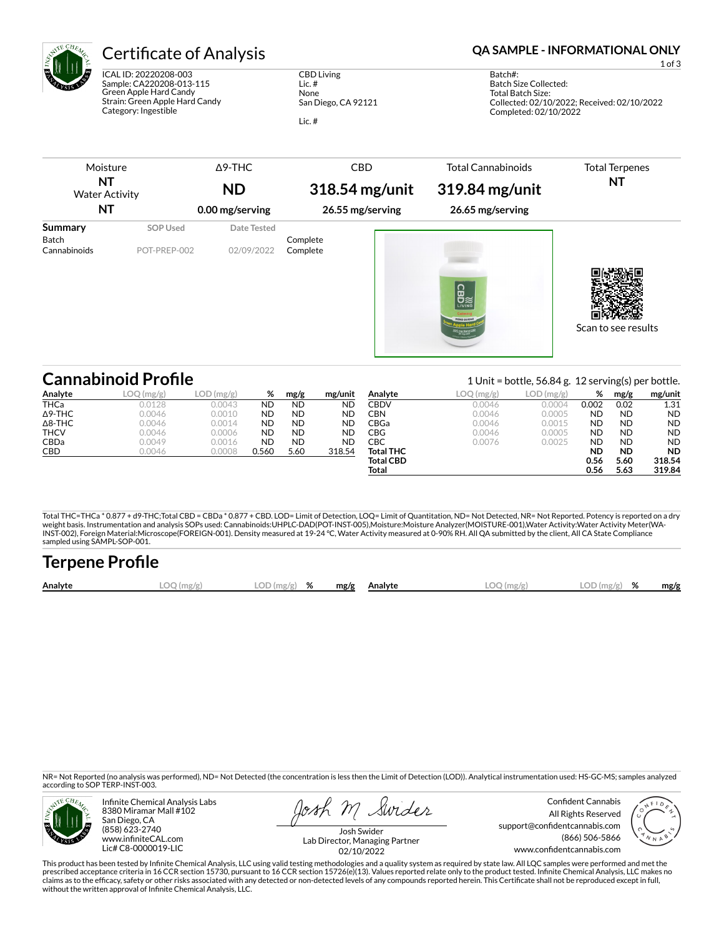

ICAL ID: 20220208-003 Sample: CA220208-013-115 Green Apple Hard Candy Strain: Green Apple Hard Candy Category: Ingestible

CBD Living Lic. # None San Diego, CA 92121

Lic. #

# Certificate of Analysis **Certificate of Analysis QA SAMPLE - INFORMATIONAL ONLY**

1 of 3

Batch#: Batch Size Collected: Total Batch Size: Collected: 02/10/2022; Received: 02/10/2022 Completed: 02/10/2022

| Moisture<br>ΝT<br><b>Water Activity</b> |                          | $\Delta$ 9-THC<br><b>ND</b> | <b>CBD</b><br>318.54 mg/unit | <b>Total Cannabinoids</b><br>319.84 mg/unit | <b>Total Terpenes</b><br>ΝT |
|-----------------------------------------|--------------------------|-----------------------------|------------------------------|---------------------------------------------|-----------------------------|
| NT                                      |                          | 0.00 mg/serving             | 26.55 mg/serving             | 26.65 mg/serving                            |                             |
| Summary<br>Batch<br>Cannabinoids        | SOP Used<br>POT-PREP-002 | Date Tested<br>02/09/2022   | Complete<br>Complete         | <b>CBD</b><br>ZERO SUGAR                    | Scan to see results         |

|                | <b>Cannabinoid Profile</b> |           |           |           |           |                  |           | 1 Unit = bottle, $56.84$ g. 12 serving(s) per bottle. |           |           |           |
|----------------|----------------------------|-----------|-----------|-----------|-----------|------------------|-----------|-------------------------------------------------------|-----------|-----------|-----------|
| Analyte        | $2 \, \text{(mg/g)}$       | LOD(mg/g) | %         | mg/g      | mg/unit   | Analyte          | LOQ(mg/g) | LOD(mg/g)                                             | %         | mg/g      | mg/unit   |
| THCa           | 0.0128                     | 0.0043    | <b>ND</b> | <b>ND</b> | ND        | CBDV             | 0.0046    | 0.0004                                                | 0.002     | 0.02      | 1.31      |
| $\Delta$ 9-THC | 0.0046                     | 0.0010    | <b>ND</b> | <b>ND</b> | <b>ND</b> | CBN              | 0.0046    | 0.0005                                                | <b>ND</b> | <b>ND</b> | <b>ND</b> |
| $\Delta$ 8-THC | 0.0046                     | 0.0014    | <b>ND</b> | <b>ND</b> | <b>ND</b> | CBGa             | 0.0046    | 0.0015                                                | <b>ND</b> | <b>ND</b> | <b>ND</b> |
| <b>THCV</b>    | 0.0046                     | 0.0006    | <b>ND</b> | <b>ND</b> | ND        | CBG              | 0.0046    | 0.0005                                                | <b>ND</b> | <b>ND</b> | <b>ND</b> |
| <b>CBDa</b>    | 0.0049                     | 0.0016    | <b>ND</b> | <b>ND</b> | ND        | СВС              | 0.0076    | 0.0025                                                | <b>ND</b> | <b>ND</b> | <b>ND</b> |
| <b>CBD</b>     | 0.0046                     | 0.0008    | 0.560     | 5.60      | 318.54    | <b>Total THC</b> |           |                                                       | <b>ND</b> | <b>ND</b> | <b>ND</b> |
|                |                            |           |           |           |           | <b>Total CBD</b> |           |                                                       | 0.56      | 5.60      | 318.54    |
|                |                            |           |           |           |           | Total            |           |                                                       | 0.56      | 5.63      | 319.84    |

Total THC=THCa \* 0.877 + d9-THC;Total CBD = CBDa \* 0.877 + CBD. LOD= Limit of Detection, LOQ= Limit of Quantitation, ND= Not Detected, NR= Not Reported. Potency is reported on a dry<br>weight basis. Instrumentation and analys INST-002), Foreign Material:Microscope(FOREIGN-001). Density measured at 19-24 °C, Water Activity measured at 0-90% RH. All QA submitted by the client, All CA State Compliance sampled using SAMPL-SOP-001.

| <b>Terpene Profile</b> |            |               |  |              |              |               |      |
|------------------------|------------|---------------|--|--------------|--------------|---------------|------|
| Analyte                | LOO (mg/g) | $LOD(mg/g)$ % |  | mg/g Analyte | $LOO$ (mg/g) | $LOD(mg/g)$ % | mg/g |

NR= Not Reported (no analysis was performed), ND= Not Detected (the concentration is less then the Limit of Detection (LOD)). Analytical instrumentation used: HS-GC-MS; samples analyzed according to SOP TERP-INST-003.



Infinite Chemical Analysis Labs 8380 Miramar Mall #102 San Diego, CA (858) 623-2740 www.infiniteCAL.com Lic# C8-0000019-LIC

losh M Swider

Confident Cannabis All Rights Reserved support@confidentcannabis.com (866) 506-5866 www.confidentcannabis.com



Josh Swider Lab Director, Managing Partner 02/10/2022

This product has been tested by Infinite Chemical Analysis, LLC using valid testing methodologies and a quality system as required by state law. All LQC samples were performed and met the prescribed acceptance criteria in 16 CCR section 15730, pursuant to 16 CCR section 15726(e)(13). Values reported relate only to the product tested. Infinite Chemical Analysis, LLC makes no<br>claims as to the efficacy, safety without the written approval of Infinite Chemical Analysis, LLC.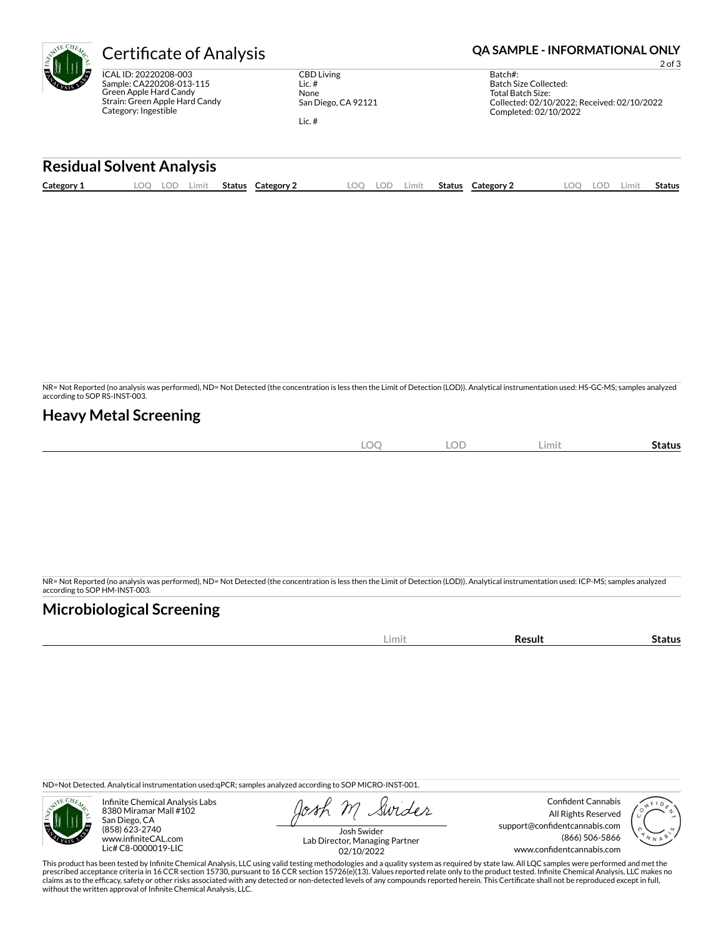

ICAL ID: 20220208-003 Sample: CA220208-013-115 Green Apple Hard Candy Strain: Green Apple Hard Candy Category: Ingestible

CBD Living Lic. # None San Diego, CA 92121 Lic. #

**Certificate of Analysis <b>Certificate of Analysis QA SAMPLE - INFORMATIONAL ONLY** 

2 of 3

| Batch#:                                     |
|---------------------------------------------|
| Batch Size Collected:                       |
| Total Batch Size:                           |
| Collected: 02/10/2022: Received: 02/10/2022 |
| Completed: 02/10/2022                       |
|                                             |

### **Residual Solvent Analysis**

| Category 1 | LOC | LOD | Limit | Status | Category 2 | .OQ | LOD | Limit | Status | <b>Category 2</b> | .OO | LOD | ∟imit | <b>Status</b> |
|------------|-----|-----|-------|--------|------------|-----|-----|-------|--------|-------------------|-----|-----|-------|---------------|
|            |     |     |       |        |            |     |     |       |        |                   |     |     |       |               |

NR= Not Reported (no analysis was performed), ND= Not Detected (the concentration is less then the Limit of Detection (LOD)). Analytical instrumentation used: HS-GC-MS; samples analyzed according to SOP RS-INST-003.

## **Heavy Metal Screening**

| <b>LOC</b> | <b>LOD</b> | Limit | -<br>Status |
|------------|------------|-------|-------------|
|            |            |       |             |

NR= Not Reported (no analysis was performed), ND= Not Detected (the concentration is less then the Limit of Detection (LOD)). Analytical instrumentation used: ICP-MS; samples analyzed according to SOP HM-INST-003.

## **Microbiological Screening**

| . |  |
|---|--|
|   |  |

ND=Not Detected. Analytical instrumentation used:qPCR; samples analyzed according to SOP MICRO-INST-001.



Infinite Chemical Analysis Labs 8380 Miramar Mall #102 San Diego, CA (858) 623-2740 www.infiniteCAL.com Lic# C8-0000019-LIC

Swider

Confident Cannabis All Rights Reserved support@confidentcannabis.com (866) 506-5866 www.confidentcannabis.com



Josh Swider Lab Director, Managing Partner 02/10/2022

This product has been tested by Infinite Chemical Analysis, LLC using valid testing methodologies and a quality system as required by state law. All LQC samples were performed and met the prescribed acceptance criteria in 16 CCR section 15730, pursuant to 16 CCR section 15726(e)(13). Values reported relate only to the product tested. Infinite Chemical Analysis, LLC makes no<br>claims as to the efficacy, safety without the written approval of Infinite Chemical Analysis, LLC.